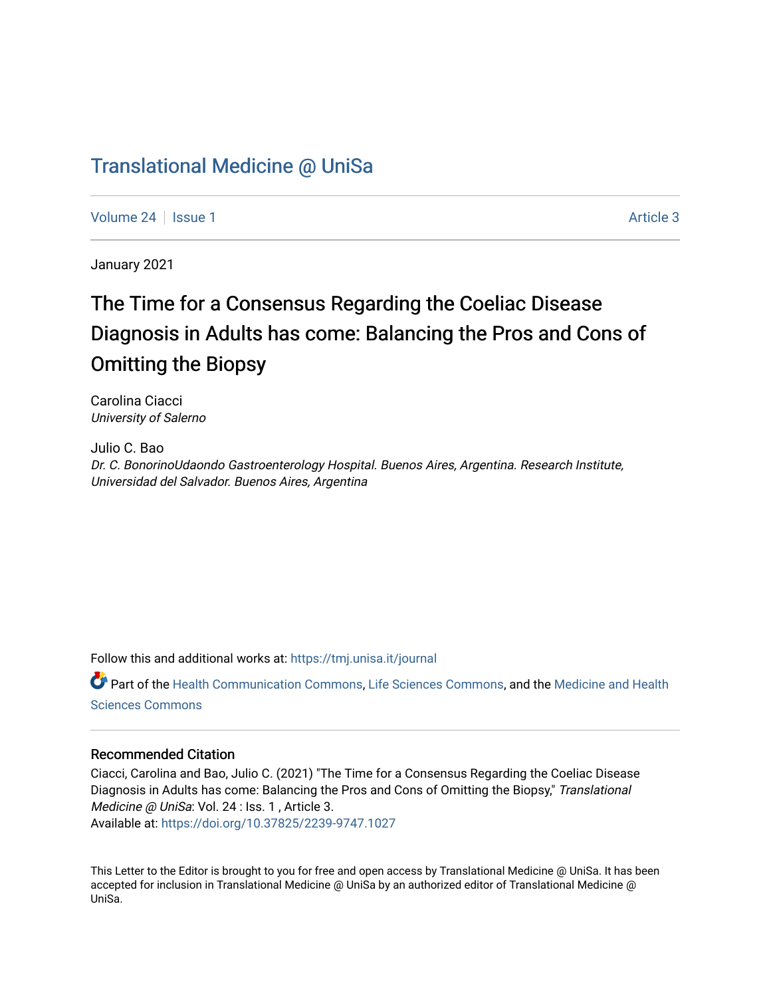### [Translational Medicine @ UniSa](https://tmj.unisa.it/journal)

[Volume 24](https://tmj.unisa.it/journal/vol24) | [Issue 1](https://tmj.unisa.it/journal/vol24/iss1) Article 3

January 2021

## The Time for a Consensus Regarding the Coeliac Disease Diagnosis in Adults has come: Balancing the Pros and Cons of Omitting the Biopsy

Carolina Ciacci University of Salerno

Julio C. Bao Dr. C. BonorinoUdaondo Gastroenterology Hospital. Buenos Aires, Argentina. Research Institute, Universidad del Salvador. Buenos Aires, Argentina

Follow this and additional works at: [https://tmj.unisa.it/journal](https://tmj.unisa.it/journal?utm_source=tmj.unisa.it%2Fjournal%2Fvol24%2Fiss1%2F3&utm_medium=PDF&utm_campaign=PDFCoverPages)

Part of the [Health Communication Commons](https://network.bepress.com/hgg/discipline/330?utm_source=tmj.unisa.it%2Fjournal%2Fvol24%2Fiss1%2F3&utm_medium=PDF&utm_campaign=PDFCoverPages), [Life Sciences Commons](https://network.bepress.com/hgg/discipline/1016?utm_source=tmj.unisa.it%2Fjournal%2Fvol24%2Fiss1%2F3&utm_medium=PDF&utm_campaign=PDFCoverPages), and the [Medicine and Health](https://network.bepress.com/hgg/discipline/648?utm_source=tmj.unisa.it%2Fjournal%2Fvol24%2Fiss1%2F3&utm_medium=PDF&utm_campaign=PDFCoverPages) [Sciences Commons](https://network.bepress.com/hgg/discipline/648?utm_source=tmj.unisa.it%2Fjournal%2Fvol24%2Fiss1%2F3&utm_medium=PDF&utm_campaign=PDFCoverPages) 

### Recommended Citation

Ciacci, Carolina and Bao, Julio C. (2021) "The Time for a Consensus Regarding the Coeliac Disease Diagnosis in Adults has come: Balancing the Pros and Cons of Omitting the Biopsy," Translational Medicine @ UniSa: Vol. 24 : Iss. 1, Article 3. Available at:<https://doi.org/10.37825/2239-9747.1027>

This Letter to the Editor is brought to you for free and open access by Translational Medicine @ UniSa. It has been accepted for inclusion in Translational Medicine @ UniSa by an authorized editor of Translational Medicine @ UniSa.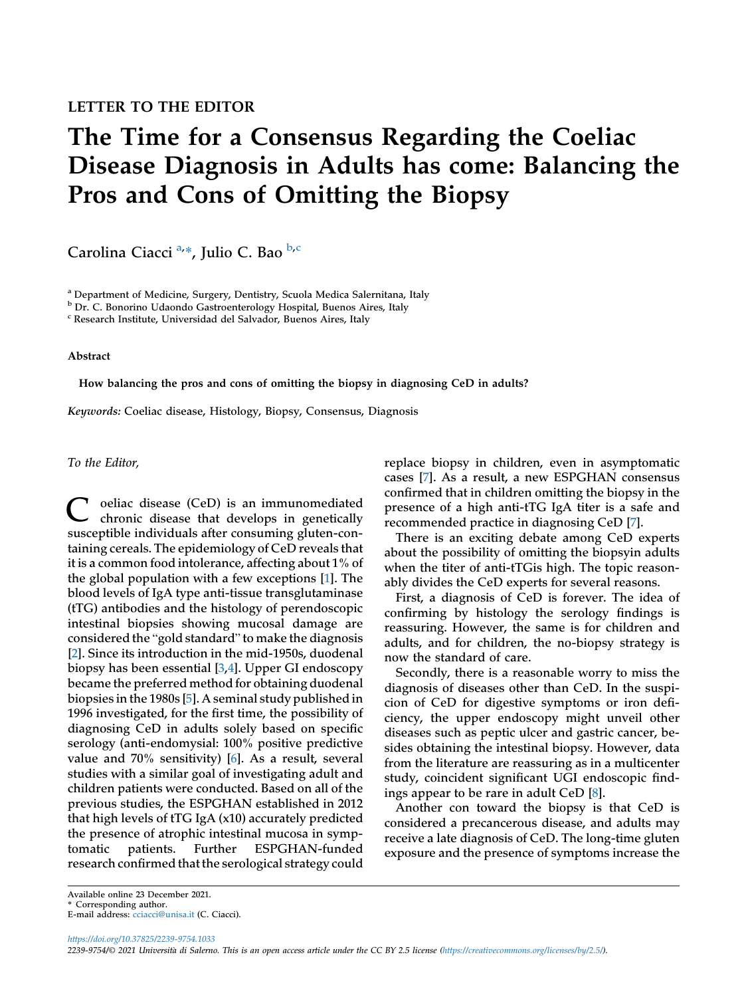# The Time for a Consensus Regarding the Coeliac Disease Diagnosis in Adults has come: Balancing the Pros and Cons of Omitting the Biopsy

C[a](#page-1-0)rolina Ciacci<sup>a,</sup>\*, Julio C. Bao <sup>[b](#page-1-1),[c](#page-1-2)</sup>

<span id="page-1-0"></span><sup>a</sup> Department of Medicine, Surgery, Dentistry, Scuola Medica Salernitana, Italy

<span id="page-1-1"></span><sup>b</sup> Dr. C. Bonorino Udaondo Gastroenterology Hospital, Buenos Aires, Italy

<span id="page-1-2"></span><sup>c</sup> Research Institute, Universidad del Salvador, Buenos Aires, Italy

Abstract

How balancing the pros and cons of omitting the biopsy in diagnosing CeD in adults?

Keywords: Coeliac disease, Histology, Biopsy, Consensus, Diagnosis

To the Editor,

oeliac disease (CeD) is an immunomediated chronic disease that develops in genetically susceptible individuals after consuming gluten-containing cereals. The epidemiology of CeD reveals that it is a common food intolerance, affecting about 1% of the global population with a few exceptions [\[1](#page-2-0)]. The blood levels of IgA type anti-tissue transglutaminase (tTG) antibodies and the histology of perendoscopic intestinal biopsies showing mucosal damage are considered the "gold standard" to make the diagnosis [\[2](#page-2-1)]. Since its introduction in the mid-1950s, duodenal biopsy has been essential [\[3](#page-2-2),[4](#page-2-3)]. Upper GI endoscopy became the preferred method for obtaining duodenal biopsies in the 1980s [\[5](#page-2-4)]. A seminal study published in 1996 investigated, for the first time, the possibility of diagnosing CeD in adults solely based on specific serology (anti-endomysial: 100% positive predictive value and 70% sensitivity) [[6\]](#page-2-5). As a result, several studies with a similar goal of investigating adult and children patients were conducted. Based on all of the previous studies, the ESPGHAN established in 2012 that high levels of tTG IgA (x10) accurately predicted the presence of atrophic intestinal mucosa in symptomatic patients. Further ESPGHAN-funded research confirmed that the serological strategy could

replace biopsy in children, even in asymptomatic cases [[7\]](#page-2-6). As a result, a new ESPGHAN consensus confirmed that in children omitting the biopsy in the presence of a high anti-tTG IgA titer is a safe and recommended practice in diagnosing CeD [\[7](#page-2-6)].

There is an exciting debate among CeD experts about the possibility of omitting the biopsyin adults when the titer of anti-tTGis high. The topic reasonably divides the CeD experts for several reasons.

First, a diagnosis of CeD is forever. The idea of confirming by histology the serology findings is reassuring. However, the same is for children and adults, and for children, the no-biopsy strategy is now the standard of care.

Secondly, there is a reasonable worry to miss the diagnosis of diseases other than CeD. In the suspicion of CeD for digestive symptoms or iron deficiency, the upper endoscopy might unveil other diseases such as peptic ulcer and gastric cancer, besides obtaining the intestinal biopsy. However, data from the literature are reassuring as in a multicenter study, coincident significant UGI endoscopic findings appear to be rare in adult CeD [[8\]](#page-2-7).

Another con toward the biopsy is that CeD is considered a precancerous disease, and adults may receive a late diagnosis of CeD. The long-time gluten exposure and the presence of symptoms increase the

Available online 23 December 2021.

<sup>\*</sup> Corresponding author.

E-mail address: cciacci@unisa.it (C. Ciacci).